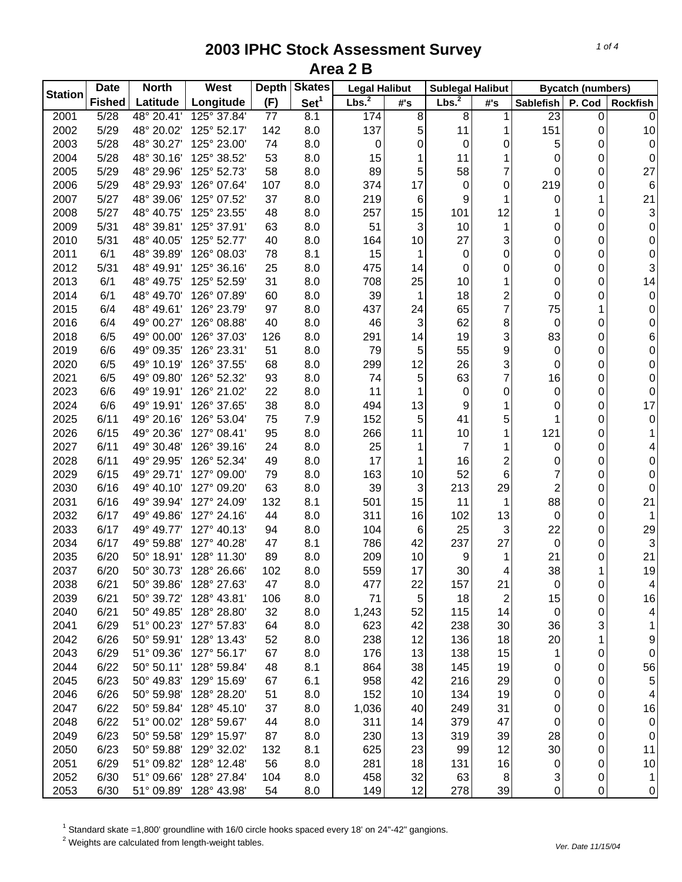| <b>Station</b> | <b>Date</b>   | <b>North</b>        | West                   | <b>Depth</b> | <b>Skates</b>    | <b>Legal Halibut</b> |                     | <b>Sublegal Halibut</b> |     | <b>Bycatch (numbers)</b> |        |                     |
|----------------|---------------|---------------------|------------------------|--------------|------------------|----------------------|---------------------|-------------------------|-----|--------------------------|--------|---------------------|
|                | <b>Fished</b> | Latitude            | Longitude              | (F)          | Set <sup>1</sup> | Lbs. <sup>2</sup>    | $\#^{\centerdot}$ s | Lbs. <sup>2</sup>       | #'s | <b>Sablefish</b>         | P. Cod | <b>Rockfish</b>     |
| 2001           | 5/28          | 48° 20.41'          | 125° 37.84'            | 77           | 8.1              | 174                  | $\infty$            | 8                       | 1   | 23                       | 0      | 0                   |
| 2002           | 5/29          | 48° 20.02'          | 125° 52.17'            | 142          | 8.0              | 137                  | 5                   | 11                      | 1   | 151                      | 0      | 10                  |
| 2003           | 5/28          | 48° 30.27'          | 125° 23.00'            | 74           | 8.0              | 0                    | 0                   | $\mathbf 0$             | 0   | 5                        | 0      | 0                   |
| 2004           | 5/28          | 48° 30.16'          | 125° 38.52'            | 53           | 8.0              | 15                   | 1                   | 11                      |     | 0                        | 0      | 0                   |
| 2005           | 5/29          | 48° 29.96'          | 125° 52.73'            | 58           | 8.0              | 89                   | 5                   | 58                      | 7   | 0                        | 0      | 27                  |
| 2006           | 5/29          | 48° 29.93'          | 126° 07.64'            | 107          | 8.0              | 374                  | 17                  | $\mathbf 0$             | 0   | 219                      | 0      | 6                   |
| 2007           | 5/27          | 48° 39.06'          | 125° 07.52'            | 37           | 8.0              | 219                  | 6                   | 9                       | 1   | 0                        | 1      | 21                  |
| 2008           | 5/27          | 48° 40.75'          | 125° 23.55'            | 48           | 8.0              | 257                  | 15                  | 101                     | 12  | 1                        | 0      | 3                   |
| 2009           | 5/31          | 48° 39.81'          | 125° 37.91'            | 63           | 8.0              | 51                   | 3                   | 10                      | 1   | 0                        | 0      | 0                   |
| 2010           | 5/31          | 48° 40.05'          | 125° 52.77'            | 40           | 8.0              | 164                  | 10                  | 27                      | 3   | 0                        | 0      | 0                   |
| 2011           | 6/1           | 48° 39.89'          | 126° 08.03'            | 78           | 8.1              | 15                   | 1                   | 0                       | 0   | 0                        | 0      | 0                   |
| 2012           | 5/31          | 48° 49.91'          | 125° 36.16'            | 25           | 8.0              | 475                  | 14                  | 0                       | 0   | 0                        | 0      | 3                   |
| 2013           | 6/1           | 48° 49.75'          | 125° 52.59'            | 31           | 8.0              | 708                  | 25                  | 10                      | 1   | 0                        | 0      | 14                  |
| 2014           | 6/1           | 48° 49.70'          | 126° 07.89'            | 60           | 8.0              | 39                   | 1                   | 18                      | 2   | 0                        | 0      | 0                   |
| 2015           | 6/4           | 48° 49.61'          | 126° 23.79'            | 97           | 8.0              | 437                  | 24                  | 65                      | 7   | 75                       | 1      | 0                   |
| 2016           | 6/4           | 49° 00.27'          | 126° 08.88'            | 40           | 8.0              | 46                   | $\mathbf{3}$        | 62                      | 8   | 0                        | 0      | 0                   |
| 2018           | 6/5           | 49° 00.00'          | 126° 37.03'            | 126          | 8.0              | 291                  | 14                  | 19                      | 3   | 83                       | 0      | 6                   |
| 2019           | 6/6           | 49° 09.35'          | 126° 23.31'            | 51           | 8.0              | 79                   | 5                   | 55                      | 9   | 0                        | 0      | 0                   |
| 2020           | 6/5           | 49° 10.19'          | 126° 37.55'            | 68           | 8.0              | 299                  | 12                  | 26                      | 3   | 0                        | 0      | 0                   |
| 2021           | 6/5           | 49° 09.80'          | 126° 52.32'            | 93           | 8.0              | 74                   | 5                   | 63                      | 7   | 16                       | 0      | 0                   |
| 2023           | 6/6           | 49° 19.91'          | 126° 21.02'            | 22           | 8.0              | 11                   | 1                   | $\mathbf 0$             | 0   | 0                        | 0      | 0                   |
| 2024           | 6/6           | 49° 19.91'          | 126° 37.65'            | 38           | 8.0              | 494                  | 13                  | 9                       | 1   | 0                        | 0      | 17                  |
| 2025           | 6/11          | 49° 20.16'          | 126° 53.04'            | 75           | 7.9              | 152                  | 5 <sub>5</sub>      | 41                      | 5   | 1                        | 0      | $\pmb{0}$           |
| 2026           | 6/15          | 49° 20.36'          | 127° 08.41'            | 95           | 8.0              | 266                  | 11                  | 10                      |     | 121                      | 0      | 1                   |
| 2027           | 6/11          | 49° 30.48'          | 126° 39.16'            | 24           | 8.0              | 25                   | 1                   | $\overline{7}$          | 1   | $\mathbf 0$              | 0      | 4                   |
| 2028           | 6/11          | 49° 29.95'          | 126° 52.34'            | 49           | 8.0              | 17                   | 1                   | 16                      | 2   | 0                        | 0      | 0                   |
| 2029           | 6/15          | 49° 29.71'          | 127° 09.00'            | 79           | 8.0              | 163                  | 10                  | 52                      | 6   | 7                        | 0      | 0                   |
| 2030           | 6/16          | 49° 40.10'          | 127° 09.20'            | 63           | 8.0              | 39                   | 3                   | 213                     | 29  | $\overline{c}$           | 0      | 0                   |
| 2031           | 6/16          | 49° 39.94'          | 127° 24.09'            | 132          | 8.1              | 501                  | 15                  | 11                      | 1   | 88                       | 0      | 21                  |
| 2032           | 6/17          | 49° 49.86'          | 127° 24.16'            | 44           | 8.0              | 311                  | 16                  | 102                     | 13  | 0                        | 0      | 1                   |
| 2033           | 6/17          | 49° 49.77'          | 127° 40.13'            | 94           | 8.0              | 104                  | 6                   | 25                      | 3   | 22                       | 0      | 29                  |
| 2034           | 6/17          | 49° 59.88'          | 127° 40.28'            | 47           | 8.1              | 786                  | 42                  | 237                     | 27  | 0                        | 0      | 3                   |
| 2035           | 6/20          | 50° 18.91'          | 128° 11.30'            | 89           | 8.0              | 209                  | 10                  | 9                       | 1   | 21                       | 0      | 21                  |
| 2037           | 6/20          |                     | 50° 30.73' 128° 26.66' | 102          | 8.0              | 559                  | 17                  | 30                      | 4   | 38                       | 1      | 19                  |
| 2038           | 6/21          | 50° 39.86'          | 128° 27.63'            | 47           | 8.0              | 477                  | 22                  | 157                     | 21  | 0                        | 0      | $\vert 4 \vert$     |
| 2039           | 6/21          | 50° 39.72'          | 128° 43.81'            | 106          | 8.0              | 71                   | $\overline{5}$      | 18                      | 2   | 15                       | 0      | 16                  |
| 2040           | 6/21          | 50° 49.85'          | 128° 28.80'            | 32           | 8.0              | 1,243                | 52                  | 115                     | 14  | 0                        | 0      | 4                   |
| 2041           | 6/29          | 51° 00.23'          | 127° 57.83'            | 64           | 8.0              | 623                  | 42                  | 238                     | 30  | 36                       | 3      | 1                   |
| 2042           | 6/26          | 50° 59.91'          | 128° 13.43'            | 52           | 8.0              | 238                  | 12                  | 136                     | 18  | 20                       | 1      | 9                   |
| 2043           | 6/29          | 51° 09.36'          | 127° 56.17'            | 67           | 8.0              | 176                  | 13                  | 138                     | 15  | 1                        | 0      | $\mathbf 0$         |
| 2044           | 6/22          | $50^{\circ} 50.11'$ | 128° 59.84'            | 48           | 8.1              | 864                  | 38                  | 145                     | 19  | 0                        | 0      | 56                  |
| 2045           | 6/23          | 50° 49.83'          | 129° 15.69'            | 67           | 6.1              | 958                  | 42                  | 216                     | 29  | $\pmb{0}$                | 0      | 5                   |
| 2046           | 6/26          | 50° 59.98'          | 128° 28.20'            | 51           | 8.0              | 152                  | 10                  | 134                     | 19  | 0                        | 0      | 4                   |
| 2047           | 6/22          | 50° 59.84'          | 128° 45.10'            | 37           | 8.0              | 1,036                | 40                  | 249                     | 31  | 0                        | 0      | 16                  |
| 2048           | 6/22          | 51° 00.02'          | 128° 59.67'            | 44           | 8.0              | 311                  | 14                  | 379                     | 47  | 0                        | 0      | $\pmb{0}$           |
| 2049           | 6/23          | 50° 59.58'          | 129° 15.97'            | 87           | 8.0              | 230                  | 13                  | 319                     | 39  | 28                       | 0      | $\pmb{0}$           |
| 2050           | 6/23          | 50° 59.88'          | 129° 32.02'            | 132          | 8.1              | 625                  | 23                  | 99                      | 12  | 30                       | 0      | 11                  |
| 2051           | 6/29          | 51° 09.82'          | 128° 12.48'            | 56           | 8.0              | 281                  | 18                  | 131                     | 16  | 0                        | 0      | $10$                |
| 2052           | 6/30          | 51° 09.66'          | 128° 27.84'            | 104          | 8.0              | 458                  | 32                  | 63                      | 8   | 3                        | 0      | $\mathbf{1}$        |
| 2053           | 6/30          | 51° 09.89'          | 128° 43.98'            | 54           | 8.0              | 149                  | 12                  | 278                     | 39  | 0                        | 0      | $\mathsf{O}\xspace$ |
|                |               |                     |                        |              |                  |                      |                     |                         |     |                          |        |                     |

<sup>1</sup> Standard skate =1,800' groundline with 16/0 circle hooks spaced every 18' on 24"-42" gangions.<br><sup>2</sup> Weights are calculated from length-weight tables.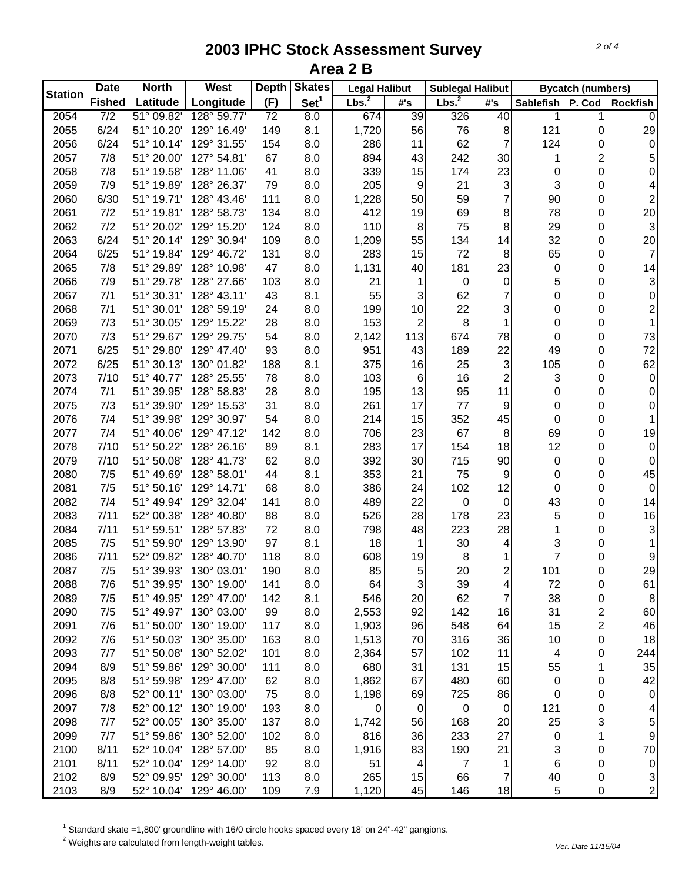| <b>Station</b> | <b>Date</b>      | <b>North</b> | <b>West</b> | <b>Depth</b> | <b>Skates</b>    | <b>Legal Halibut</b> |                 | <b>Sublegal Halibut</b> |                | <b>Bycatch (numbers)</b> |                         |                         |
|----------------|------------------|--------------|-------------|--------------|------------------|----------------------|-----------------|-------------------------|----------------|--------------------------|-------------------------|-------------------------|
|                | <b>Fished</b>    | Latitude     | Longitude   | (F)          | Set <sup>1</sup> | Lbs. <sup>2</sup>    | #'s             | Lbs. <sup>2</sup>       | #'s            | Sablefish                | P. Cod                  | <b>Rockfish</b>         |
| 2054           | $\overline{7/2}$ | 51° 09.82'   | 128° 59.77' | 72           | 8.0              | 674                  | 39              | 326                     | 40             | 1                        |                         | 0                       |
| 2055           | 6/24             | 51° 10.20'   | 129° 16.49' | 149          | 8.1              | 1,720                | 56              | 76                      | 8              | 121                      | 0                       | 29                      |
| 2056           | 6/24             | 51° 10.14'   | 129° 31.55' | 154          | 8.0              | 286                  | 11              | 62                      | 7              | 124                      | 0                       | 0                       |
| 2057           | 7/8              | 51° 20.00'   | 127° 54.81' | 67           | 8.0              | 894                  | 43              | 242                     | 30             | 1                        | $\overline{c}$          | 5                       |
| 2058           | 7/8              | 51° 19.58'   | 128° 11.06' | 41           | 8.0              | 339                  | 15              | 174                     | 23             | 0                        | $\mathbf 0$             | 0                       |
| 2059           | 7/9              | 51° 19.89'   | 128° 26.37' | 79           | 8.0              | 205                  | 9               | 21                      | 3              | 3                        | 0                       | 4                       |
| 2060           | 6/30             | 51° 19.71'   | 128° 43.46' | 111          | 8.0              | 1,228                | 50              | 59                      | 7              | 90                       | 0                       | $\overline{\mathbf{c}}$ |
| 2061           | 7/2              | 51° 19.81'   | 128° 58.73' | 134          | 8.0              | 412                  | 19              | 69                      | 8              | 78                       | 0                       | 20                      |
| 2062           | 7/2              | 51° 20.02'   | 129° 15.20' | 124          | 8.0              | 110                  | 8               | 75                      | 8              | 29                       | 0                       | 3                       |
| 2063           | 6/24             | 51° 20.14'   | 129° 30.94' | 109          | 8.0              | 1,209                | 55              | 134                     | 14             | 32                       | 0                       | 20                      |
| 2064           | 6/25             | 51° 19.84'   | 129° 46.72' | 131          | 8.0              | 283                  | 15              | 72                      | 8              | 65                       | 0                       | $\overline{7}$          |
| 2065           | 7/8              | 51° 29.89'   | 128° 10.98' | 47           | 8.0              | 1,131                | 40              | 181                     | 23             | 0                        | 0                       | 14                      |
| 2066           | 7/9              | 51° 29.78'   | 128° 27.66' | 103          | 8.0              | 21                   | 1               | 0                       | $\pmb{0}$      | 5                        | 0                       | 3                       |
| 2067           | 7/1              | 51° 30.31'   | 128° 43.11' | 43           | 8.1              | 55                   | $\mathfrak{S}$  | 62                      | 7              | 0                        | 0                       | $\pmb{0}$               |
| 2068           | 7/1              | 51° 30.01'   | 128° 59.19' | 24           | 8.0              | 199                  | 10              | 22                      | 3              | 0                        | 0                       | $\overline{\mathbf{c}}$ |
| 2069           | 7/3              | 51° 30.05'   | 129° 15.22' | 28           | 8.0              | 153                  | 2               | 8                       | 1              | 0                        | 0                       | 1                       |
| 2070           | 7/3              | 51° 29.67'   | 129° 29.75' | 54           | 8.0              | 2,142                | 113             | 674                     | 78             | 0                        | 0                       | 73                      |
| 2071           | 6/25             | 51° 29.80'   | 129° 47.40' | 93           | 8.0              | 951                  | 43              | 189                     | 22             | 49                       | 0                       | 72                      |
| 2072           | 6/25             | 51° 30.13'   | 130° 01.82' | 188          | 8.1              | 375                  | 16              | 25                      | 3              | 105                      | 0                       | 62                      |
| 2073           | 7/10             | 51° 40.77'   | 128° 25.55' | 78           | 8.0              | 103                  | 6               | 16                      | $\overline{c}$ | 3                        | 0                       | 0                       |
| 2074           | 7/1              | 51° 39.95'   | 128° 58.83' | 28           | 8.0              | 195                  | 13              | 95                      | 11             | 0                        | 0                       | 0                       |
| 2075           | 7/3              | 51° 39.90'   | 129° 15.53' | 31           | 8.0              | 261                  | 17              | 77                      | 9              | 0                        | 0                       | 0                       |
| 2076           | 7/4              | 51° 39.98'   | 129° 30.97' | 54           | 8.0              | 214                  | 15              | 352                     | 45             | 0                        | 0                       | 1                       |
| 2077           | 7/4              | 51° 40.06'   | 129° 47.12' | 142          | 8.0              | 706                  | 23              | 67                      | $\,8\,$        | 69                       | 0                       | 19                      |
| 2078           | 7/10             | 51° 50.22'   | 128° 26.16' | 89           | 8.1              | 283                  | 17              | 154                     | 18             | 12                       | 0                       | $\boldsymbol{0}$        |
| 2079           | 7/10             | 51° 50.08'   | 128° 41.73' | 62           | 8.0              | 392                  | 30              | 715                     | 90             | 0                        | 0                       | 0                       |
| 2080           | 7/5              | 51° 49.69'   | 128° 58.01' | 44           | 8.1              | 353                  | 21              | 75                      | 9              | 0                        | 0                       | 45                      |
| 2081           | 7/5              | 51° 50.16'   | 129° 14.71' | 68           | 8.0              | 386                  | 24              | 102                     | 12             | 0                        | 0                       | $\boldsymbol{0}$        |
| 2082           | 7/4              | 51° 49.94'   | 129° 32.04' | 141          | 8.0              | 489                  | 22              | 0                       | $\mathbf 0$    | 43                       | 0                       | 14                      |
| 2083           | 7/11             | 52° 00.38'   | 128° 40.80' | 88           | 8.0              | 526                  | 28              | 178                     | 23             | 5                        | 0                       | 16                      |
| 2084           | 7/11             | 51° 59.51'   | 128° 57.83' | 72           | 8.0              | 798                  | 48              | 223                     | 28             | 1                        | 0                       | 3                       |
| 2085           | 7/5              | 51° 59.90'   | 129° 13.90' | 97           | 8.1              | 18                   | 1               | 30                      | 4              | 3                        | 0                       | 1                       |
| 2086           | 7/11             | 52° 09.82'   | 128° 40.70' | 118          | 8.0              | 608                  | 19              | 8                       | 1              | 7                        | 0                       | 9                       |
| 2087           | 7/5              | 51° 39.93'   | 130° 03.01' | 190          | 8.0              | 85                   | 5               | 20                      | $\overline{c}$ | 101                      | 0                       | 29                      |
| 2088           | 7/6              | 51° 39.95'   | 130° 19.00' | 141          | 8.0              | 64                   | $\mathbf{3}$    | 39                      | 4              | 72                       | 0                       | 61                      |
| 2089           | 7/5              | 51° 49.95'   | 129° 47.00' | 142          | 8.1              | 546                  | 20              | 62                      | $\overline{7}$ | 38                       | 0                       | $\, 8$                  |
| 2090           | 7/5              | 51° 49.97'   | 130° 03.00' | 99           | 8.0              | 2,553                | 92              | 142                     | 16             | 31                       | $\overline{\mathbf{c}}$ | 60                      |
| 2091           | 7/6              | 51° 50.00'   | 130° 19.00' | 117          | 8.0              | 1,903                | 96              | 548                     | 64             | 15                       | $\overline{\mathbf{c}}$ | 46                      |
| 2092           | 7/6              | 51° 50.03'   | 130° 35.00' | 163          | 8.0              | 1,513                | 70              | 316                     | 36             | 10                       | 0                       | 18                      |
| 2093           | 7/7              | 51° 50.08'   | 130° 52.02' | 101          | 8.0              | 2,364                | 57              | 102                     | 11             | 4                        | 0                       | 244                     |
| 2094           | 8/9              | 51° 59.86'   | 129° 30.00' | 111          | 8.0              | 680                  | 31              | 131                     | 15             | 55                       | 1                       | 35                      |
| 2095           | 8/8              | 51° 59.98'   | 129° 47.00' | 62           | 8.0              | 1,862                | 67              | 480                     | 60             | $\mathbf 0$              | 0                       | 42                      |
| 2096           | 8/8              | 52° 00.11'   | 130° 03.00' | 75           | 8.0              | 1,198                | 69              | 725                     | 86             | 0                        | 0                       | 0                       |
| 2097           | 7/8              | 52° 00.12'   | 130° 19.00' | 193          | 8.0              | 0                    | $\mathbf 0$     | 0                       | 0              | 121                      | 0                       | 4                       |
| 2098           | 7/7              | 52° 00.05'   | 130° 35.00' | 137          | 8.0              | 1,742                | 56              | 168                     | 20             | 25                       | 3                       | 5                       |
| 2099           | 7/7              | 51° 59.86'   | 130° 52.00' | 102          | 8.0              | 816                  | 36              | 233                     | 27             | 0                        | 1                       | 9                       |
| 2100           | 8/11             | 52° 10.04'   | 128° 57.00' | 85           | 8.0              | 1,916                | 83              | 190                     | 21             | 3                        | 0                       | 70                      |
| 2101           | 8/11             | 52° 10.04'   | 129° 14.00' | 92           | 8.0              | 51                   | $\vert 4 \vert$ | 7                       | 1              | 6                        | 0                       | $\pmb{0}$               |
| 2102           | 8/9              | 52° 09.95'   | 129° 30.00' | 113          | 8.0              | 265                  | 15              | 66                      | $\overline{7}$ | 40                       | 0                       | 3                       |
| 2103           | 8/9              | 52° 10.04'   | 129° 46.00' | 109          | $7.9$            | 1,120                | 45              | 146                     | 18             | 5                        | 0                       | $\overline{2}$          |

<sup>1</sup> Standard skate =1,800' groundline with 16/0 circle hooks spaced every 18' on 24"-42" gangions.<br><sup>2</sup> Weights are calculated from length-weight tables.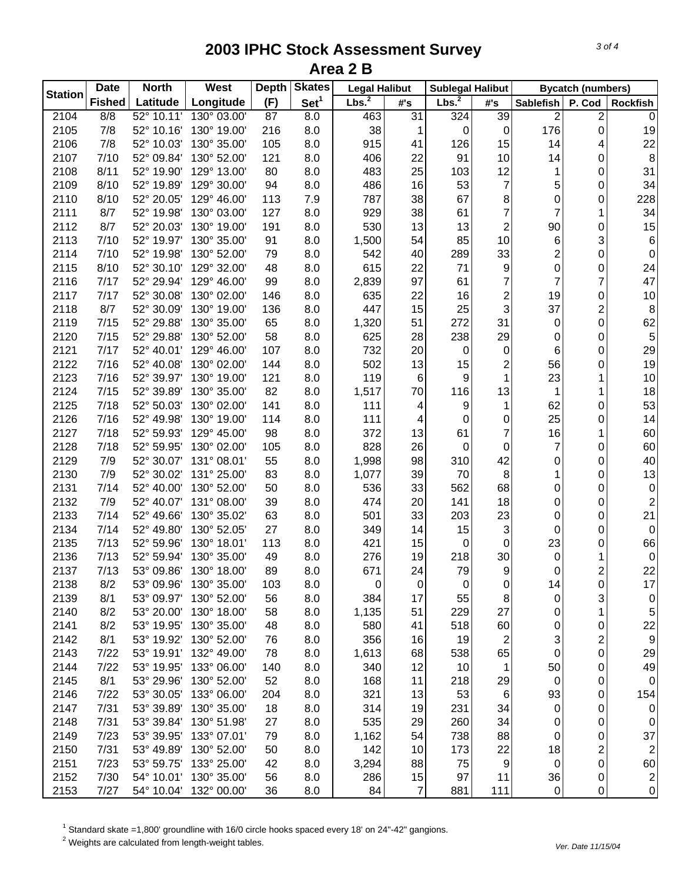| <b>Station</b> | <b>Date</b>   | <b>North</b> | West                   | <b>Skates</b><br><b>Depth</b> |                  | <b>Legal Halibut</b> |                | <b>Sublegal Halibut</b> |                  | <b>Bycatch (numbers)</b> |                         |                         |
|----------------|---------------|--------------|------------------------|-------------------------------|------------------|----------------------|----------------|-------------------------|------------------|--------------------------|-------------------------|-------------------------|
|                | <b>Fished</b> | Latitude     | Longitude              | (F)                           | Set <sup>1</sup> | Lbs. <sup>2</sup>    | #'s            | Lbs. <sup>2</sup>       | #'s              | Sablefish                | P. Cod                  | <b>Rockfish</b>         |
| 2104           | 8/8           | 52° 10.11'   | 130° 03.00'            | 87                            | 8.0              | 463                  | 31             | 324                     | 39               | $\overline{c}$           | 2                       | $\mathbf 0$             |
| 2105           | 7/8           | 52° 10.16'   | 130° 19.00'            | 216                           | 8.0              | 38                   | 1              | $\mathbf 0$             | $\mathbf 0$      | 176                      | 0                       | 19                      |
| 2106           | 7/8           | 52° 10.03'   | 130° 35.00'            | 105                           | 8.0              | 915                  | 41             | 126                     | 15               | 14                       | 4                       | 22                      |
| 2107           | 7/10          | 52° 09.84'   | 130° 52.00'            | 121                           | 8.0              | 406                  | 22             | 91                      | 10               | 14                       | 0                       | 8                       |
| 2108           | 8/11          | 52° 19.90'   | 129° 13.00'            | 80                            | 8.0              | 483                  | 25             | 103                     | 12               | 1                        | 0                       | 31                      |
| 2109           | 8/10          | 52° 19.89'   | 129° 30.00'            | 94                            | 8.0              | 486                  | 16             | 53                      | 7                | 5                        | 0                       | 34                      |
| 2110           | 8/10          | 52° 20.05'   | 129° 46.00'            | 113                           | 7.9              | 787                  | 38             | 67                      | 8                | 0                        | 0                       | 228                     |
| 2111           | 8/7           | 52° 19.98'   | 130° 03.00'            | 127                           | 8.0              | 929                  | 38             | 61                      | $\overline{7}$   | $\overline{7}$           | 1                       | 34                      |
| 2112           | 8/7           | 52° 20.03'   | 130° 19.00'            | 191                           | 8.0              | 530                  | 13             | 13                      | 2                | 90                       | 0                       | 15                      |
| 2113           | 7/10          | 52° 19.97'   | 130° 35.00'            | 91                            | 8.0              | 1,500                | 54             | 85                      | 10               | 6                        | 3                       | 6                       |
| 2114           | 7/10          | 52° 19.98'   | 130° 52.00'            | 79                            | 8.0              | 542                  | 40             | 289                     | 33               | $\overline{c}$           | 0                       | 0                       |
| 2115           | 8/10          | 52° 30.10'   | 129° 32.00'            | 48                            | 8.0              | 615                  | 22             | 71                      | 9                | 0                        | 0                       | 24                      |
| 2116           | 7/17          | 52° 29.94'   | 129° 46.00'            | 99                            | 8.0              | 2,839                | 97             | 61                      | 7                | $\overline{7}$           | 7                       | 47                      |
| 2117           | 7/17          | 52° 30.08'   | 130° 02.00'            | 146                           | 8.0              | 635                  | 22             | 16                      | $\overline{c}$   | 19                       | 0                       | $10$                    |
| 2118           | 8/7           | 52° 30.09'   | 130° 19.00'            | 136                           | 8.0              | 447                  | 15             | 25                      | 3                | 37                       | 2                       | 8                       |
| 2119           | 7/15          | 52° 29.88'   | 130° 35.00'            | 65                            | 8.0              | 1,320                | 51             | 272                     | 31               | $\mathbf 0$              | 0                       | 62                      |
| 2120           | 7/15          | 52° 29.88'   | 130° 52.00'            | 58                            | 8.0              | 625                  | 28             | 238                     | 29               | 0                        | 0                       | 5                       |
| 2121           | 7/17          | 52° 40.01'   | 129° 46.00'            | 107                           | 8.0              | 732                  | 20             | $\mathbf 0$             | $\pmb{0}$        | 6                        | 0                       | 29                      |
| 2122           | 7/16          | 52° 40.08'   | 130° 02.00'            | 144                           | 8.0              | 502                  | 13             | 15                      | $\overline{c}$   | 56                       | 0                       | 19                      |
| 2123           | 7/16          | 52° 39.97'   | 130° 19.00'            | 121                           | 8.0              | 119                  | $\,6\,$        | $\boldsymbol{9}$        | 1                | 23                       | 1                       | $10$                    |
| 2124           | 7/15          | 52° 39.89'   | 130° 35.00'            | 82                            | 8.0              | 1,517                | 70             | 116                     | 13               | 1                        | 1                       | 18                      |
| 2125           | 7/18          | 52° 50.03'   | 130° 02.00'            | 141                           | 8.0              | 111                  | 4              | $\boldsymbol{9}$        | 1                | 62                       | 0                       | 53                      |
| 2126           | 7/16          | 52° 49.98'   | 130° 19.00'            | 114                           | 8.0              | 111                  | 4              | $\mathbf 0$             | 0                | 25                       | 0                       | 14                      |
| 2127           | 7/18          | 52° 59.93'   | 129° 45.00'            | 98                            | 8.0              | 372                  | 13             | 61                      | 7                | 16                       | 1                       | 60                      |
| 2128           | 7/18          | 52° 59.95'   | 130° 02.00'            | 105                           | 8.0              | 828                  | 26             | $\mathbf 0$             | $\mathbf 0$      | $\overline{7}$           | 0                       | 60                      |
| 2129           | 7/9           | 52° 30.07'   | 131° 08.01'            | 55                            | 8.0              | 1,998                | 98             | 310                     | 42               | 0                        | 0                       | 40                      |
| 2130           | 7/9           | 52° 30.02'   | 131° 25.00'            | 83                            | 8.0              | 1,077                | 39             | 70                      | 8                | 1                        | 0                       | 13                      |
| 2131           | 7/14          | 52° 40.00'   | 130° 52.00'            | 50                            | 8.0              | 536                  | 33             | 562                     | 68               | 0                        | 0                       | $\boldsymbol{0}$        |
| 2132           | 7/9           | 52° 40.07'   | 131° 08.00'            | 39                            | 8.0              | 474                  | 20             | 141                     | 18               | 0                        | 0                       | $\overline{\mathbf{c}}$ |
| 2133           | 7/14          | 52° 49.66'   | 130° 35.02'            | 63                            | 8.0              | 501                  | 33             | 203                     | 23               | 0                        | 0                       | 21                      |
| 2134           | 7/14          | 52° 49.80'   | 130° 52.05'            | 27                            | 8.0              | 349                  | 14             | 15                      | 3                | $\mathbf 0$              | 0                       | 0                       |
| 2135           | 7/13          | 52° 59.96'   | 130° 18.01'            | 113                           | 8.0              | 421                  | 15             | $\mathbf 0$             | $\mathbf 0$      | 23                       | 0                       | 66                      |
| 2136           | 7/13          | 52° 59.94'   | 130° 35.00'            | 49                            | 8.0              | 276                  | 19             | 218                     | 30               | $\mathbf 0$              |                         | $\pmb{0}$               |
| 2137           | 7/13          | 53° 09.86'   | 130° 18.00'            | 89                            | 8.0              | 671                  | 24             | 79                      | 9                | 0                        | 2                       | 22                      |
| 2138           | 8/2           | 53° 09.96'   | 130° 35.00'            | 103                           | 8.0              | 0                    | 0              | $\mathbf 0$             | 0                | 14                       | 0                       | 17                      |
| 2139           | 8/1           | 53° 09.97'   | 130° 52.00'            | 56                            | 8.0              | 384                  | 17             | 55                      | 8                | 0                        | 3                       | $\pmb{0}$               |
| 2140           | 8/2           | 53° 20.00'   | 130° 18.00'            | 58                            | 8.0              | 1,135                | 51             | 229                     | 27               | 0                        | 1                       | 5                       |
| 2141           | 8/2           | 53° 19.95'   | 130° 35.00'            | 48                            | 8.0              | 580                  | 41             | 518                     | 60               | 0                        | 0                       | 22                      |
| 2142           | 8/1           | 53° 19.92'   | 130° 52.00'            | 76                            | 8.0              | 356                  | 16             | 19                      | $\sqrt{2}$       | 3                        | $\overline{\mathbf{c}}$ | $\boldsymbol{9}$        |
| 2143           | 7/22          | 53° 19.91'   | 132° 49.00'            |                               |                  |                      |                | 538                     | 65               | $\boldsymbol{0}$         | $\pmb{0}$               | 29                      |
| 2144           | 7/22          | 53° 19.95'   | 133° 06.00'            | 78<br>140                     | 8.0              | 1,613<br>340         | 68<br>12       | 10                      | 1                | 50                       | $\pmb{0}$               | 49                      |
|                | 8/1           |              | 130° 52.00'            | 52                            | 8.0              |                      |                |                         |                  |                          |                         | $\overline{0}$          |
| 2145           |               | 53° 29.96'   |                        |                               | 8.0              | 168                  | 11             | 218                     | 29               | 0                        | 0                       |                         |
| 2146           | 7/22          | 53° 30.05'   | 133° 06.00'            | 204                           | 8.0              | 321                  | 13             | 53                      | 6                | 93                       | 0                       | 154                     |
| 2147           | 7/31          | 53° 39.89'   | 130° 35.00'            | 18                            | 8.0              | 314                  | 19             | 231                     | 34               | 0                        | 0                       | $\pmb{0}$               |
| 2148           | 7/31          | 53° 39.84'   | 130° 51.98'            | 27                            | 8.0              | 535                  | 29             | 260                     | 34               | 0                        | 0                       | 0                       |
| 2149           | 7/23          | 53° 39.95'   | 133° 07.01'            | 79                            | 8.0              | 1,162                | 54             | 738                     | 88               | 0                        | 0                       | 37                      |
| 2150           | 7/31          | 53° 49.89'   | 130° 52.00'            | 50                            | 8.0              | 142                  | 10             | 173                     | 22               | 18                       | 2                       | $\mathbf{2}$            |
| 2151           | 7/23          | 53° 59.75'   | 133° 25.00'            | 42                            | 8.0              | 3,294                | 88             | 75                      | $\boldsymbol{9}$ | 0                        | 0                       | 60                      |
| 2152           | 7/30          | 54° 10.01'   | 130° 35.00'            | 56                            | 8.0              | 286                  | 15             | 97                      | 11               | 36                       | 0                       | $\mathbf{2}$            |
| 2153           | 7/27          |              | 54° 10.04' 132° 00.00' | 36                            | 8.0              | 84                   | $\overline{7}$ | 881                     | 111              | $\boldsymbol{0}$         | $\pmb{0}$               | $\overline{0}$          |

<sup>1</sup> Standard skate =1,800' groundline with 16/0 circle hooks spaced every 18' on 24"-42" gangions.<br><sup>2</sup> Weights are calculated from length-weight tables.